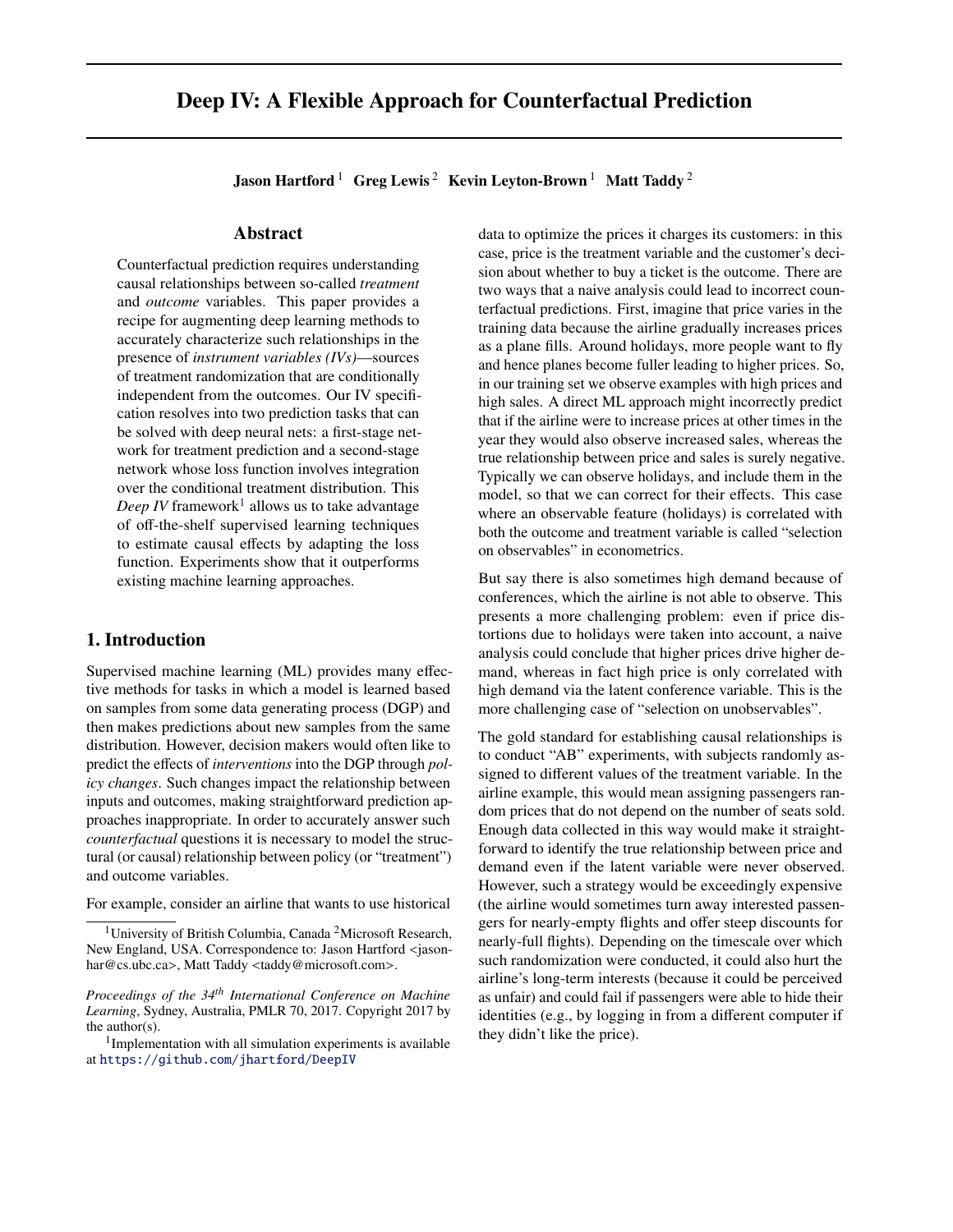# <span id="page-0-0"></span>Deep IV: A Flexible Approach for Counterfactual Prediction

Jason Hartford<sup>1</sup> Greg Lewis<sup>2</sup> Kevin Leyton-Brown<sup>1</sup> Matt Taddy<sup>2</sup>

#### Abstract

Counterfactual prediction requires understanding causal relationships between so-called *treatment* and *outcome* variables. This paper provides a recipe for augmenting deep learning methods to accurately characterize such relationships in the presence of *instrument variables (IVs)*—sources of treatment randomization that are conditionally independent from the outcomes. Our IV specification resolves into two prediction tasks that can be solved with deep neural nets: a first-stage network for treatment prediction and a second-stage network whose loss function involves integration over the conditional treatment distribution. This *Deep IV* framework $^1$  allows us to take advantage of off-the-shelf supervised learning techniques to estimate causal effects by adapting the loss function. Experiments show that it outperforms existing machine learning approaches.

#### 1. Introduction

Supervised machine learning (ML) provides many effective methods for tasks in which a model is learned based on samples from some data generating process (DGP) and then makes predictions about new samples from the same distribution. However, decision makers would often like to predict the effects of *interventions* into the DGP through *policy changes*. Such changes impact the relationship between inputs and outcomes, making straightforward prediction approaches inappropriate. In order to accurately answer such *counterfactual* questions it is necessary to model the structural (or causal) relationship between policy (or "treatment") and outcome variables.

For example, consider an airline that wants to use historical

data to optimize the prices it charges its customers: in this case, price is the treatment variable and the customer's decision about whether to buy a ticket is the outcome. There are two ways that a naive analysis could lead to incorrect counterfactual predictions. First, imagine that price varies in the training data because the airline gradually increases prices as a plane fills. Around holidays, more people want to fly and hence planes become fuller leading to higher prices. So, in our training set we observe examples with high prices and high sales. A direct ML approach might incorrectly predict that if the airline were to increase prices at other times in the year they would also observe increased sales, whereas the true relationship between price and sales is surely negative. Typically we can observe holidays, and include them in the model, so that we can correct for their effects. This case where an observable feature (holidays) is correlated with both the outcome and treatment variable is called "selection on observables" in econometrics.

But say there is also sometimes high demand because of conferences, which the airline is not able to observe. This presents a more challenging problem: even if price distortions due to holidays were taken into account, a naive analysis could conclude that higher prices drive higher demand, whereas in fact high price is only correlated with high demand via the latent conference variable. This is the more challenging case of "selection on unobservables".

The gold standard for establishing causal relationships is to conduct "AB" experiments, with subjects randomly assigned to different values of the treatment variable. In the airline example, this would mean assigning passengers random prices that do not depend on the number of seats sold. Enough data collected in this way would make it straightforward to identify the true relationship between price and demand even if the latent variable were never observed. However, such a strategy would be exceedingly expensive (the airline would sometimes turn away interested passengers for nearly-empty flights and offer steep discounts for nearly-full flights). Depending on the timescale over which such randomization were conducted, it could also hurt the airline's long-term interests (because it could be perceived as unfair) and could fail if passengers were able to hide their identities (e.g., by logging in from a different computer if they didn't like the price).

<sup>&</sup>lt;sup>1</sup>University of British Columbia, Canada<sup>2</sup>Microsoft Research, New England, USA. Correspondence to: Jason Hartford <jasonhar@cs.ubc.ca>, Matt Taddy <taddy@microsoft.com>.

*Proceedings of the 34th International Conference on Machine Learning*, Sydney, Australia, PMLR 70, 2017. Copyright 2017 by the author(s).

<sup>&</sup>lt;sup>1</sup>Implementation with all simulation experiments is available at <https://github.com/jhartford/DeepIV>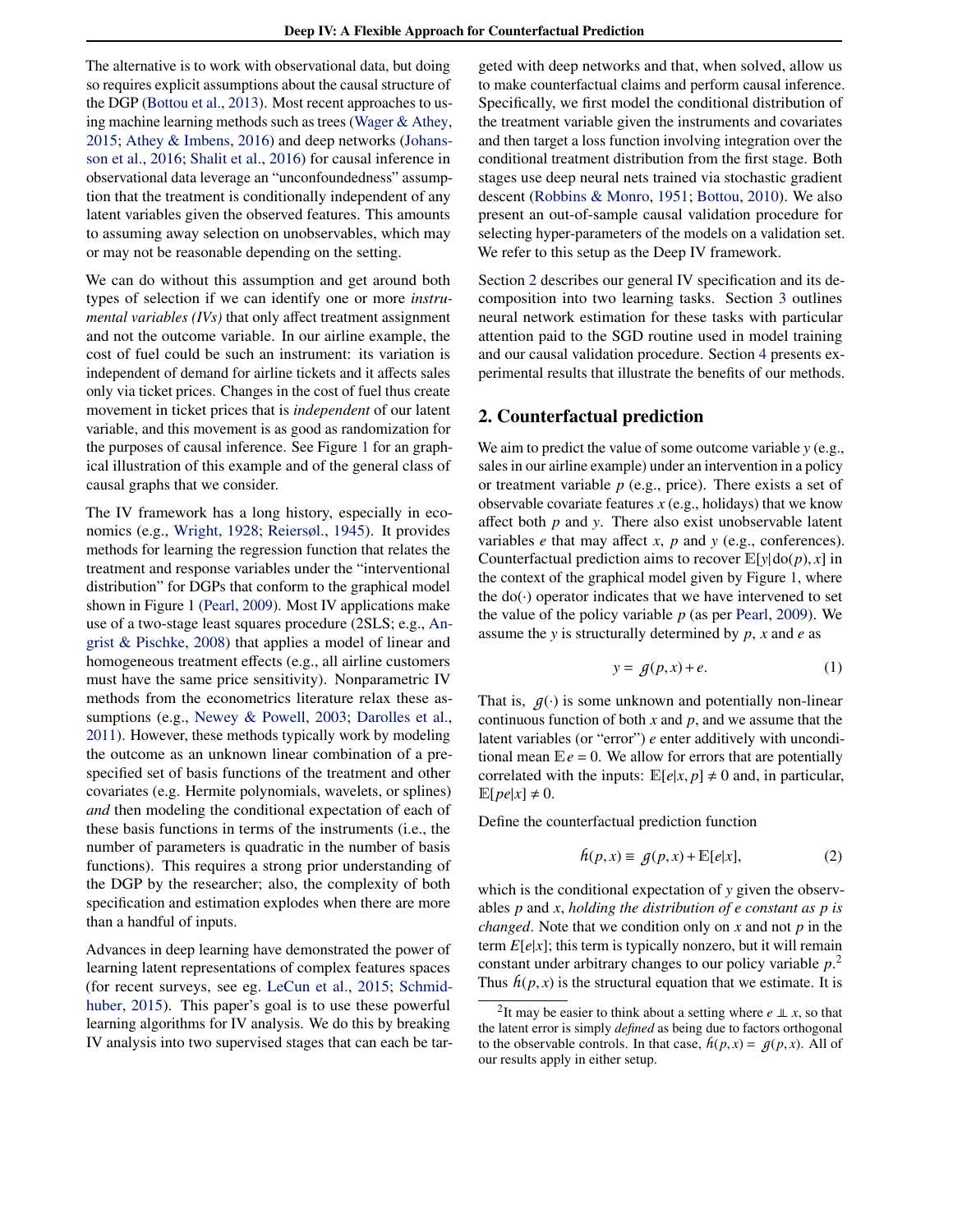<span id="page-1-0"></span>The alternative is to work with observational data, but doing so requires explicit assumptions about the causal structure of the DGP [\(Bottou et al.,](#page-8-0) [2013\)](#page-8-0). Most recent approaches to using machine learning methods such as trees [\(Wager & Athey,](#page-9-0) [2015;](#page-9-0) [Athey & Imbens,](#page-8-0) [2016\)](#page-8-0) and deep networks [\(Johans](#page-8-0)[son et al.,](#page-8-0) [2016;](#page-8-0) [Shalit et al.,](#page-9-0) [2016\)](#page-9-0) for causal inference in observational data leverage an "unconfoundedness" assumption that the treatment is conditionally independent of any latent variables given the observed features. This amounts to assuming away selection on unobservables, which may or may not be reasonable depending on the setting.

We can do without this assumption and get around both types of selection if we can identify one or more *instrumental variables (IVs)* that only affect treatment assignment and not the outcome variable. In our airline example, the cost of fuel could be such an instrument: its variation is independent of demand for airline tickets and it affects sales only via ticket prices. Changes in the cost of fuel thus create movement in ticket prices that is *independent* of our latent variable, and this movement is as good as randomization for the purposes of causal inference. See Figure [1](#page-2-0) for an graphical illustration of this example and of the general class of causal graphs that we consider.

The IV framework has a long history, especially in economics (e.g., [Wright,](#page-9-0) [1928;](#page-9-0) [Reiersøl.,](#page-8-0) [1945\)](#page-8-0). It provides methods for learning the regression function that relates the treatment and response variables under the "interventional distribution" for DGPs that conform to the graphical model shown in Figure 1 [\(Pearl,](#page-8-0) [2009\)](#page-8-0). Most IV applications make use of a two-stage least squares procedure (2SLS; e.g., [An](#page-8-0)[grist & Pischke,](#page-8-0) [2008\)](#page-8-0) that applies a model of linear and homogeneous treatment effects (e.g., all airline customers must have the same price sensitivity). Nonparametric IV methods from the econometrics literature relax these assumptions (e.g., [Newey & Powell,](#page-8-0) [2003;](#page-8-0) [Darolles et al.,](#page-8-0) [2011\)](#page-8-0). However, these methods typically work by modeling the outcome as an unknown linear combination of a prespecified set of basis functions of the treatment and other covariates (e.g. Hermite polynomials, wavelets, or splines) *and* then modeling the conditional expectation of each of these basis functions in terms of the instruments (i.e., the number of parameters is quadratic in the number of basis functions). This requires a strong prior understanding of the DGP by the researcher; also, the complexity of both specification and estimation explodes when there are more than a handful of inputs.

Advances in deep learning have demonstrated the power of learning latent representations of complex features spaces (for recent surveys, see eg. [LeCun et al.,](#page-8-0) [2015;](#page-8-0) [Schmid](#page-8-0)[huber,](#page-8-0) [2015\)](#page-8-0). This paper's goal is to use these powerful learning algorithms for IV analysis. We do this by breaking IV analysis into two supervised stages that can each be targeted with deep networks and that, when solved, allow us to make counterfactual claims and perform causal inference. Specifically, we first model the conditional distribution of the treatment variable given the instruments and covariates and then target a loss function involving integration over the conditional treatment distribution from the first stage. Both stages use deep neural nets trained via stochastic gradient descent [\(Robbins & Monro,](#page-8-0) [1951;](#page-8-0) [Bottou,](#page-8-0) [2010\)](#page-8-0). We also present an out-of-sample causal validation procedure for selecting hyper-parameters of the models on a validation set. We refer to this setup as the Deep IV framework.

Section 2 describes our general IV specification and its decomposition into two learning tasks. Section [3](#page-3-0) outlines neural network estimation for these tasks with particular attention paid to the SGD routine used in model training and our causal validation procedure. Section [4](#page-5-0) presents experimental results that illustrate the benefits of our methods.

## 2. Counterfactual prediction

We aim to predict the value of some outcome variable *y* (e.g., sales in our airline example) under an intervention in a policy or treatment variable *p* (e.g., price). There exists a set of observable covariate features *x* (e.g., holidays) that we know affect both *p* and *y*. There also exist unobservable latent variables *e* that may affect *x*, *p* and *y* (e.g., conferences). Counterfactual prediction aims to recover  $E[y]$  do(*p*), *x*] in the context of the graphical model given by Figure [1,](#page-2-0) where the  $do(·)$  operator indicates that we have intervened to set the value of the policy variable *p* (as per [Pearl,](#page-8-0) [2009\)](#page-8-0). We assume the *y* is structurally determined by *p*, *x* and *e* as

$$
y = g(p, x) + e. \tag{1}
$$

That is,  $q(\cdot)$  is some unknown and potentially non-linear continuous function of both *x* and *p*, and we assume that the latent variables (or "error") *e* enter additively with unconditional mean  $E e = 0$ . We allow for errors that are potentially correlated with the inputs:  $\mathbb{E}[e|x, p] \neq 0$  and, in particular,  $\mathbb{E}[pe|x] \neq 0.$ 

Define the counterfactual prediction function

$$
h(p,x) \equiv g(p,x) + \mathbb{E}[e|x],\tag{2}
$$

which is the conditional expectation of *y* given the observables *p* and *x*, *holding the distribution of e constant as p is changed*. Note that we condition only on *x* and not *p* in the term  $E[e|x]$ ; this term is typically nonzero, but it will remain constant under arbitrary changes to our policy variable *p*. 2 Thus  $h(p, x)$  is the structural equation that we estimate. It is

<sup>&</sup>lt;sup>2</sup>It may be easier to think about a setting where  $e \perp x$ , so that the latent error is simply *defined* as being due to factors orthogonal to the observable controls. In that case,  $h(p, x) = g(p, x)$ . All of our results apply in either setup.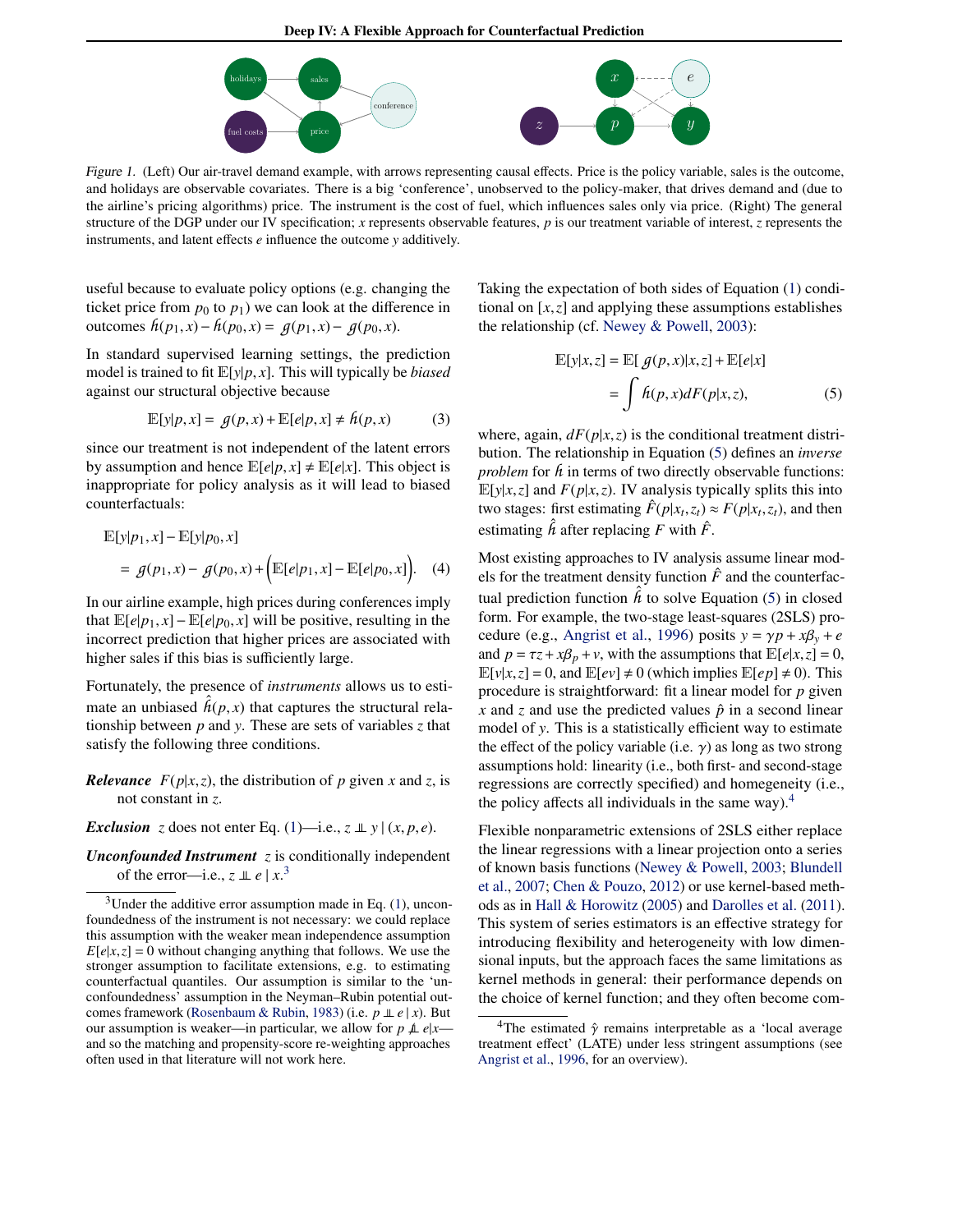Deep IV: A Flexible Approach for Counterfactual Prediction



<span id="page-2-0"></span>Figure 1. (Left) Our air-travel demand example, with arrows representing causal effects. Price is the policy variable, sales is the outcome, and holidays are observable covariates. There is a big 'conference', unobserved to the policy-maker, that drives demand and (due to the airline's pricing algorithms) price. The instrument is the cost of fuel, which influences sales only via price. (Right) The general structure of the DGP under our IV specification; *x* represents observable features, *p* is our treatment variable of interest, *z* represents the instruments, and latent effects *e* influence the outcome *y* additively.

useful because to evaluate policy options (e.g. changing the ticket price from  $p_0$  to  $p_1$ ) we can look at the difference in outcomes  $h(p_1, x) - h(p_0, x) = g(p_1, x) - g(p_0, x)$ .

In standard supervised learning settings, the prediction model is trained to fit <sup>E</sup>[*y*|*p*, *<sup>x</sup>*]. This will typically be *biased* against our structural objective because

$$
\mathbb{E}[y|p,x] = g(p,x) + \mathbb{E}[e|p,x] \neq h(p,x) \tag{3}
$$

since our treatment is not independent of the latent errors by assumption and hence  $\mathbb{E}[e|p, x] \neq \mathbb{E}[e|x]$ . This object is inappropriate for policy analysis as it will lead to biased counterfactuals:

$$
\mathbb{E}[y|p_1, x] - \mathbb{E}[y|p_0, x] \n= g(p_1, x) - g(p_0, x) + (\mathbb{E}[e|p_1, x] - \mathbb{E}[e|p_0, x]).
$$
\n(4)

In our airline example, high prices during conferences imply that  $\mathbb{E}[e|p_1, x] - \mathbb{E}[e|p_0, x]$  will be positive, resulting in the incorrect prediction that higher prices are associated with higher sales if this bias is sufficiently large.

Fortunately, the presence of *instruments* allows us to estimate an unbiased  $\hat{h}(p, x)$  that captures the structural rela-<br>tionship between *n* and *y*. These are sets of variables z that tionship between *p* and *y*. These are sets of variables *z* that satisfy the following three conditions.

*Relevance*  $F(p|x, z)$ , the distribution of *p* given *x* and *z*, is not constant in *z*.

*Exclusion z* does not enter Eq. [\(1\)](#page-1-0)—i.e.,  $z \perp y | (x, p, e)$ .

*Unconfounded Instrument z* is conditionally independent of the error—i.e.,  $z \perp z \perp e / x^3$ 

Taking the expectation of both sides of Equation [\(1\)](#page-1-0) conditional on [*x*,*z*] and applying these assumptions establishes the relationship (cf. [Newey & Powell,](#page-8-0) [2003\)](#page-8-0):

$$
\mathbb{E}[y|x,z] = \mathbb{E}[g(p,x)|x,z] + \mathbb{E}[e|x]
$$

$$
= \int h(p,x)dF(p|x,z), \tag{5}
$$

where, again,  $dF(p|x,z)$  is the conditional treatment distribution. The relationship in Equation (5) defines an *inverse problem* for  $h$  in terms of two directly observable functions:  $E[y|x,z]$  and  $F(p|x,z)$ . IV analysis typically splits this into two stages: first estimating  $\hat{F}(p|x_t, z_t) \approx F(p|x_t, z_t)$ , and then estimating  $\hat{h}$  after replacing *F* with  $\hat{F}$ .

Most existing approaches to IV analysis assume linear models for the treatment density function  $\hat{F}$  and the counterfactual prediction function  $\hat{h}$  to solve Equation (5) in closed form. For example, the two-stage least-squares (2SLS) pro-cedure (e.g., [Angrist et al.,](#page-8-0) [1996\)](#page-8-0) posits  $y = \gamma p + x\beta_y + e$ and  $p = \tau z + x\beta_p + v$ , with the assumptions that  $\mathbb{E}[e|x, z] = 0$ ,  $\mathbb{E}[v|x,z] = 0$ , and  $\mathbb{E}[ev] \neq 0$  (which implies  $\mathbb{E}[ep] \neq 0$ ). This procedure is straightforward: fit a linear model for *p* given *x* and *z* and use the predicted values  $\hat{p}$  in a second linear model of *y*. This is a statistically efficient way to estimate the effect of the policy variable (i.e.  $\gamma$ ) as long as two strong assumptions hold: linearity (i.e., both first- and second-stage regressions are correctly specified) and homegeneity (i.e., the policy affects all individuals in the same way). $4$ 

Flexible nonparametric extensions of 2SLS either replace the linear regressions with a linear projection onto a series of known basis functions [\(Newey & Powell,](#page-8-0) [2003;](#page-8-0) [Blundell](#page-8-0) [et al.,](#page-8-0) [2007;](#page-8-0) [Chen & Pouzo,](#page-8-0) [2012\)](#page-8-0) or use kernel-based methods as in [Hall & Horowitz](#page-8-0) [\(2005\)](#page-8-0) and [Darolles et al.](#page-8-0) [\(2011\)](#page-8-0). This system of series estimators is an effective strategy for introducing flexibility and heterogeneity with low dimensional inputs, but the approach faces the same limitations as kernel methods in general: their performance depends on the choice of kernel function; and they often become com-

 $3$ Under the additive error assumption made in Eq. [\(1\)](#page-1-0), unconfoundedness of the instrument is not necessary: we could replace this assumption with the weaker mean independence assumption  $E[e|x, z] = 0$  without changing anything that follows. We use the stronger assumption to facilitate extensions, e.g. to estimating counterfactual quantiles. Our assumption is similar to the 'unconfoundedness' assumption in the Neyman–Rubin potential outcomes framework [\(Rosenbaum & Rubin,](#page-8-0) [1983\)](#page-8-0) (i.e. *p* ⊥⊥ *e* | *x*). But our assumption is weaker—in particular, we allow for  $p \not\perp e | x$  and so the matching and propensity-score re-weighting approaches often used in that literature will not work here.

<sup>&</sup>lt;sup>4</sup>The estimated  $\hat{\gamma}$  remains interpretable as a 'local average treatment effect' (LATE) under less stringent assumptions (see [Angrist et al.,](#page-8-0) [1996,](#page-8-0) for an overview).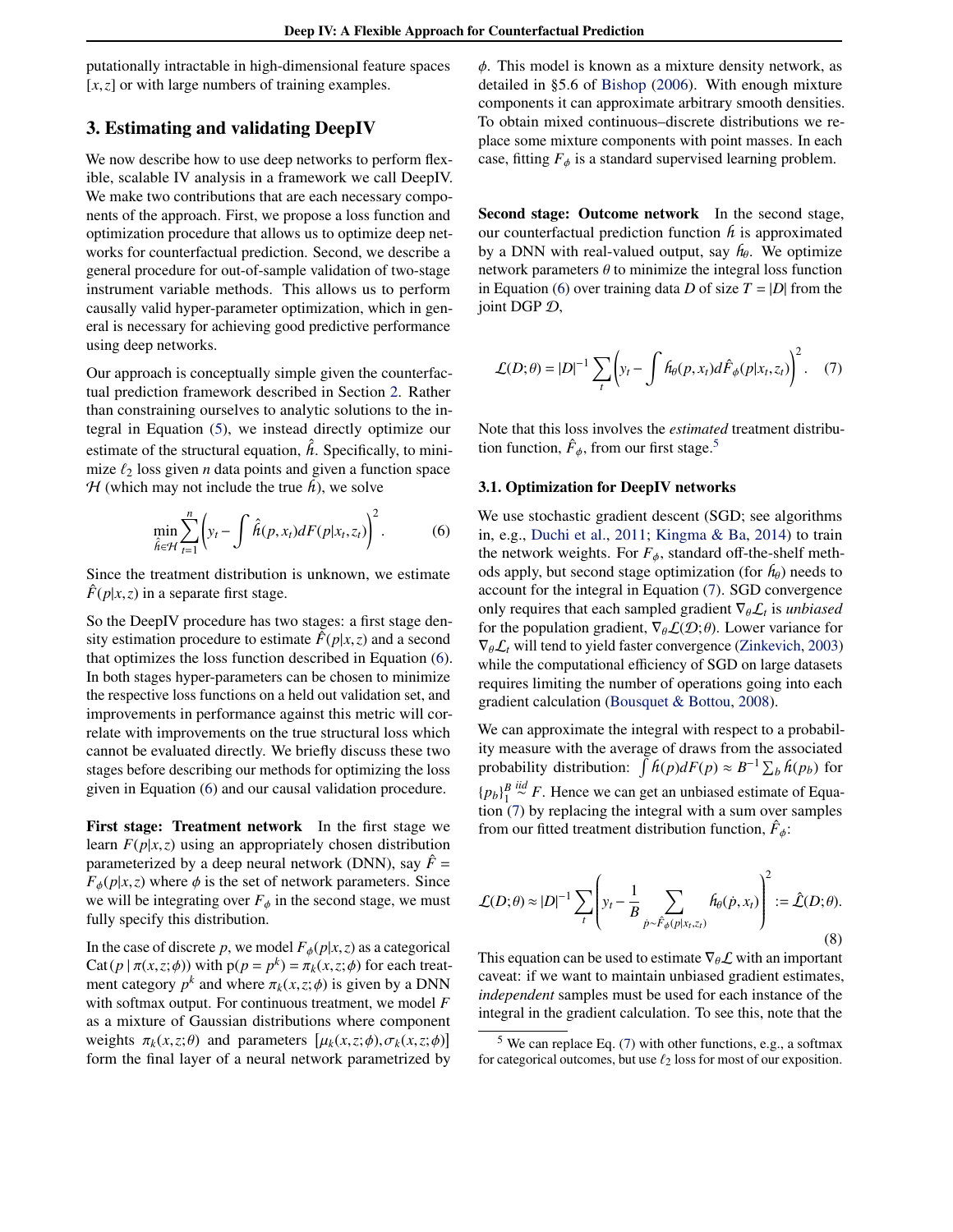<span id="page-3-0"></span>putationally intractable in high-dimensional feature spaces [*x*,*z*] or with large numbers of training examples.

## 3. Estimating and validating DeepIV

We now describe how to use deep networks to perform flexible, scalable IV analysis in a framework we call DeepIV. We make two contributions that are each necessary components of the approach. First, we propose a loss function and optimization procedure that allows us to optimize deep networks for counterfactual prediction. Second, we describe a general procedure for out-of-sample validation of two-stage instrument variable methods. This allows us to perform causally valid hyper-parameter optimization, which in general is necessary for achieving good predictive performance using deep networks.

Our approach is conceptually simple given the counterfactual prediction framework described in Section [2.](#page-1-0) Rather than constraining ourselves to analytic solutions to the integral in Equation [\(5\)](#page-2-0), we instead directly optimize our estimate of the structural equation,  $\hat{h}$ . Specifically, to minimize  $\ell_2$  loss given *n* data points and given a function space  $H$  (which may not include the true  $h$ ), we solve

$$
\min_{\hat{h}\in\mathcal{H}}\sum_{t=1}^n \left(y_t - \int \hat{h}(p,x_t)dF(p|x_t,z_t)\right)^2.
$$
 (6)

Since the treatment distribution is unknown, we estimate  $F(p|x,z)$  in a separate first stage.

So the DeepIV procedure has two stages: a first stage density estimation procedure to estimate  $\hat{F}(p|x,z)$  and a second that optimizes the loss function described in Equation (6). In both stages hyper-parameters can be chosen to minimize the respective loss functions on a held out validation set, and improvements in performance against this metric will correlate with improvements on the true structural loss which cannot be evaluated directly. We briefly discuss these two stages before describing our methods for optimizing the loss given in Equation (6) and our causal validation procedure.

First stage: Treatment network In the first stage we learn  $F(p|x, z)$  using an appropriately chosen distribution parameterized by a deep neural network (DNN), say  $\hat{F}$  =  $F_{\phi}(p|x,z)$  where  $\phi$  is the set of network parameters. Since we will be integrating over  $F_{\phi}$  in the second stage, we must fully specify this distribution.

In the case of discrete *p*, we model  $F_{\phi}(p|x, z)$  as a categorical Cat( $p | \pi(x, z; \phi)$ ) with  $p(p = p^k) = \pi_k(x, z; \phi)$  for each treat-<br>ment category  $n^k$  and where  $\pi_k(x, z; \phi)$  is given by a DNN ment category  $p^k$  and where  $\pi_k(x, z; \phi)$  is given by a DNN<br>with softmax output. For continuous treatment, we model E with softmax output. For continuous treatment, we model *F* as a mixture of Gaussian distributions where component weights  $\pi_k(x, z; \theta)$  and parameters  $[\mu_k(x, z; \phi), \sigma_k(x, z; \phi)]$ <br>form the final layer of a neural network parametrized by form the final layer of a neural network parametrized by

 $\phi$ . This model is known as a mixture density network, as detailed in §5.6 of [Bishop](#page-8-0) [\(2006\)](#page-8-0). With enough mixture components it can approximate arbitrary smooth densities. To obtain mixed continuous–discrete distributions we replace some mixture components with point masses. In each case, fitting  $F_{\phi}$  is a standard supervised learning problem.

Second stage: Outcome network In the second stage, our counterfactual prediction function *h* is approximated by a DNN with real-valued output, say  $h_{\theta}$ . We optimize network parameters  $\theta$  to minimize the integral loss function in Equation (6) over training data *D* of size  $T = |D|$  from the joint DGP D,

$$
\mathcal{L}(D; \theta) = |D|^{-1} \sum_{t} \left( y_t - \int f_{\theta}(p, x_t) d\hat{F}_{\phi}(p | x_t, z_t) \right)^2.
$$
 (7)

Note that this loss involves the *estimated* treatment distribution function,  $\hat{F}_{\phi}$ , from our first stage.<sup>5</sup>

#### 3.1. Optimization for DeepIV networks

We use stochastic gradient descent (SGD; see algorithms in, e.g., [Duchi et al.,](#page-8-0) [2011;](#page-8-0) [Kingma & Ba,](#page-8-0) [2014\)](#page-8-0) to train the network weights. For  $F_{\phi}$ , standard off-the-shelf methods apply, but second stage optimization (for  $h_{\theta}$ ) needs to account for the integral in Equation (7). SGD convergence only requires that each sampled gradient  $\nabla_{\theta} \mathcal{L}_t$  is *unbiased* for the population gradient  $\nabla_{\theta} \mathcal{L}(\mathcal{D} \cdot \theta)$ . I ower variance for for the population gradient,  $\nabla_{\theta} \mathcal{L}(\mathcal{D}; \theta)$ . Lower variance for  $\nabla_{\theta} \mathcal{L}_t$  will tend to yield faster convergence [\(Zinkevich,](#page-9-0) [2003\)](#page-9-0) while the computational efficiency of SGD on large datasets requires limiting the number of operations going into each gradient calculation [\(Bousquet & Bottou,](#page-8-0) [2008\)](#page-8-0).

We can approximate the integral with respect to a probability measure with the average of draws from the associated probability distribution:  $\int h(p)dF(p) \approx B^{-1} \sum_b h(p_b)$  for  ${p_b}$  $_{1}^{B}$ *iid* ∼ *F*. Hence we can get an unbiased estimate of Equation (7) by replacing the integral with a sum over samples from our fitted treatment distribution function,  $\hat{F}_{\phi}$ :

$$
\mathcal{L}(D; \theta) \approx |D|^{-1} \sum_{t} \left( y_t - \frac{1}{B} \sum_{\dot{p} \sim \hat{F}_{\phi}(p|x_t, z_t)} \hat{h}_{\theta}(\dot{p}, x_t) \right)^2 := \hat{\mathcal{L}}(D; \theta).
$$
\n(8)

This equation can be used to estimate  $\nabla_{\theta} \mathcal{L}$  with an important caveat: if we want to maintain unbiased gradient estimates, *independent* samples must be used for each instance of the integral in the gradient calculation. To see this, note that the

 $5$  We can replace Eq. (7) with other functions, e.g., a softmax for categorical outcomes, but use  $\ell_2$  loss for most of our exposition.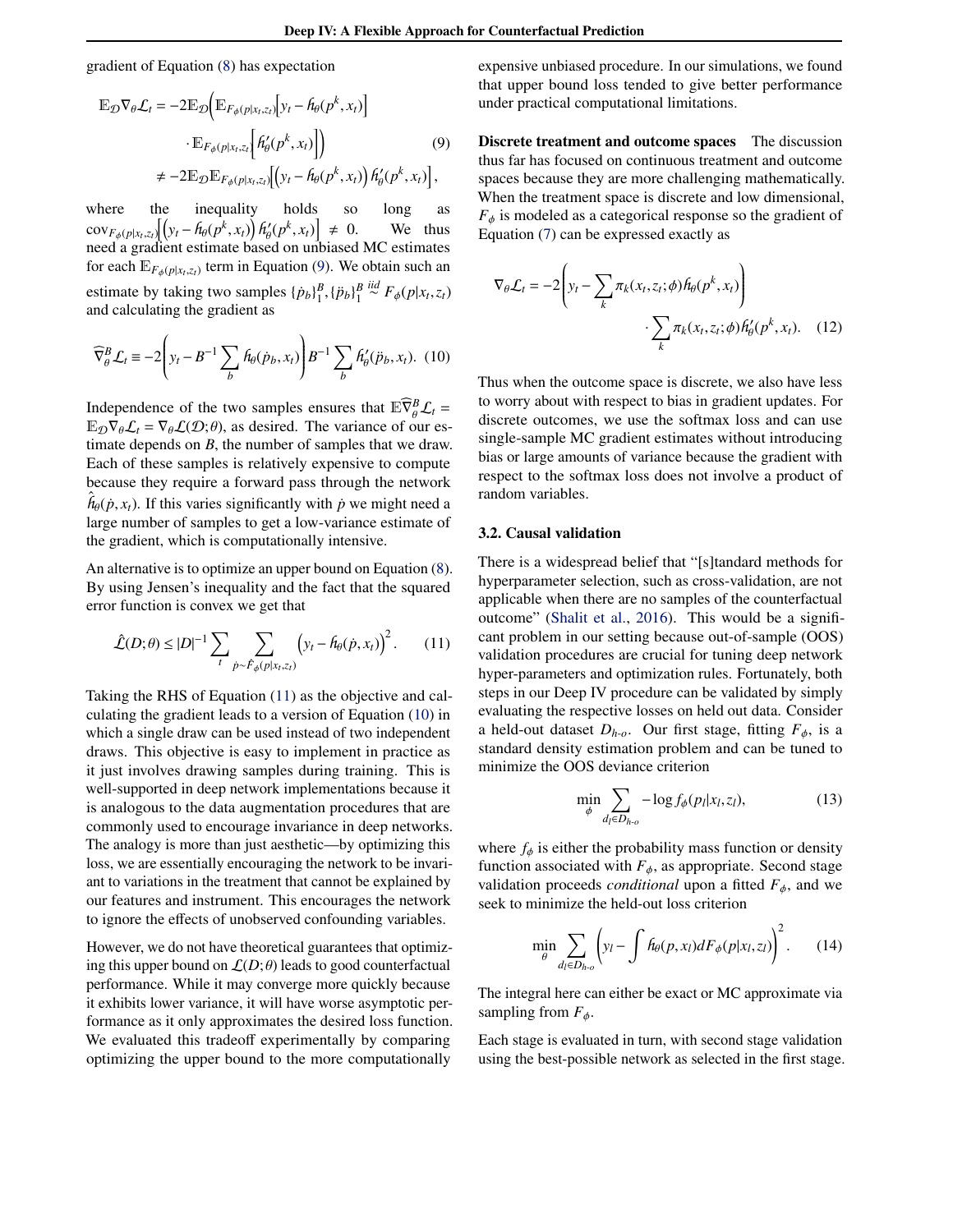gradient of Equation [\(8\)](#page-3-0) has expectation

$$
\mathbb{E}_{\mathcal{D}} \nabla_{\theta} \mathcal{L}_{t} = -2 \mathbb{E}_{\mathcal{D}} \Big( \mathbb{E}_{F_{\phi}(p|x_{t}, z_{t})} \Big[ y_{t} - \hat{h}_{\theta}(p^{k}, x_{t}) \Big] \n\cdot \mathbb{E}_{F_{\phi}(p|x_{t}, z_{t})} \Big[ \hat{h}_{\theta}'(p^{k}, x_{t}) \Big] \Big) \n\neq -2 \mathbb{E}_{\mathcal{D}} \mathbb{E}_{F_{\phi}(p|x_{t}, z_{t})} \Big[ \Big( y_{t} - \hat{h}_{\theta}(p^{k}, x_{t}) \Big) \hat{h}_{\theta}'(p^{k}, x_{t}) \Big],
$$
\n(9)

where the inequality holds so long as  $\frac{\partial f}{\partial p}(x,y,z_t) \left[ \left( y_t - h_\theta(p^k, x_t) \right) h'_\theta(p^k, x_t) \right]$ <br>need a gradient estimate based on un need a gradient estimate based on unbiased MC estimates We thus for each  $\mathbb{E}_{F_{\phi}(p|x_t,z_t)}$  term in Equation (9). We obtain such an estimate by taking two samples  $\{ \dot{p}_b \}_{1}^B$ ,  $\{ \ddot{p}_b \}_{1}^B$  $\stackrel{iid}{\sim} F_{\phi}(p|x_t, z_t)$ and calculating the gradient as

$$
\widehat{\nabla}_{\theta}^{B} \mathcal{L}_{t} \equiv -2 \left( y_{t} - B^{-1} \sum_{b} \hat{h}_{\theta}(\dot{p}_{b}, x_{t}) \right) B^{-1} \sum_{b} \hat{h}'_{\theta}(\ddot{p}_{b}, x_{t}). \tag{10}
$$

Independence of the two samples ensures that  $\mathbb{E}\overline{\nabla}_{\theta}^B \mathcal{L}_t = \mathbb{E}_{\theta} \nabla_{\theta} \mathcal{L}_t = \nabla_{\theta} \mathcal{L}(\mathcal{D}^T \theta)$  as desired. The variance of our es- $\mathbb{E}_{\mathcal{D}}\nabla_{\theta}\mathcal{L}_t = \nabla_{\theta}\mathcal{L}(\mathcal{D};\theta)$ , as desired. The variance of our estimate depends on *B*, the number of samples that we draw. Each of these samples is relatively expensive to compute because they require a forward pass through the network  $\hat{h}_{\theta}(\dot{p}, x_t)$ . If this varies significantly with  $\dot{p}$  we might need a low-variance estimate of large number of samples to get a low-variance estimate of the gradient, which is computationally intensive.

An alternative is to optimize an upper bound on Equation [\(8\)](#page-3-0). By using Jensen's inequality and the fact that the squared error function is convex we get that

$$
\hat{\mathcal{L}}(D;\theta) \leq |D|^{-1} \sum_{t} \sum_{\dot{p} \sim \hat{F}_{\phi}(p|x_t,z_t)} \left( y_t - \hat{h}_{\theta}(\dot{p},x_t) \right)^2. \tag{11}
$$

Taking the RHS of Equation (11) as the objective and calculating the gradient leads to a version of Equation (10) in which a single draw can be used instead of two independent draws. This objective is easy to implement in practice as it just involves drawing samples during training. This is well-supported in deep network implementations because it is analogous to the data augmentation procedures that are commonly used to encourage invariance in deep networks. The analogy is more than just aesthetic—by optimizing this loss, we are essentially encouraging the network to be invariant to variations in the treatment that cannot be explained by our features and instrument. This encourages the network to ignore the effects of unobserved confounding variables.

However, we do not have theoretical guarantees that optimizing this upper bound on  $\mathcal{L}(D;\theta)$  leads to good counterfactual performance. While it may converge more quickly because it exhibits lower variance, it will have worse asymptotic performance as it only approximates the desired loss function. We evaluated this tradeoff experimentally by comparing optimizing the upper bound to the more computationally

expensive unbiased procedure. In our simulations, we found that upper bound loss tended to give better performance under practical computational limitations.

Discrete treatment and outcome spaces The discussion thus far has focused on continuous treatment and outcome spaces because they are more challenging mathematically. When the treatment space is discrete and low dimensional,  $F_{\phi}$  is modeled as a categorical response so the gradient of Equation [\(7\)](#page-3-0) can be expressed exactly as

$$
\nabla_{\theta} \mathcal{L}_{t} = -2 \left( y_{t} - \sum_{k} \pi_{k}(x_{t}, z_{t}; \phi) \hat{h}_{\theta}(p^{k}, x_{t}) \right) \cdot \sum_{k} \pi_{k}(x_{t}, z_{t}; \phi) \hat{h}_{\theta}'(p^{k}, x_{t}). \quad (12)
$$

Thus when the outcome space is discrete, we also have less to worry about with respect to bias in gradient updates. For discrete outcomes, we use the softmax loss and can use single-sample MC gradient estimates without introducing bias or large amounts of variance because the gradient with respect to the softmax loss does not involve a product of random variables.

#### 3.2. Causal validation

There is a widespread belief that "[s]tandard methods for hyperparameter selection, such as cross-validation, are not applicable when there are no samples of the counterfactual outcome" [\(Shalit et al.,](#page-9-0) [2016\)](#page-9-0). This would be a significant problem in our setting because out-of-sample (OOS) validation procedures are crucial for tuning deep network hyper-parameters and optimization rules. Fortunately, both steps in our Deep IV procedure can be validated by simply evaluating the respective losses on held out data. Consider a held-out dataset  $D_{h-0}$ . Our first stage, fitting  $F_{\phi}$ , is a standard density estimation problem and can be tuned to minimize the OOS deviance criterion

$$
\min_{\phi} \sum_{d_l \in D_{h \text{-}o}} -\log f_{\phi}(p_l | x_l, z_l),\tag{13}
$$

where  $f_{\phi}$  is either the probability mass function or density function associated with  $F_{\phi}$ , as appropriate. Second stage validation proceeds *conditional* upon a fitted  $F_{\phi}$ , and we seek to minimize the held-out loss criterion

$$
\min_{\theta} \sum_{d_l \in D_{h \cdot o}} \left( y_l - \int f_{\theta}(p, x_l) dF_{\phi}(p | x_l, z_l) \right)^2.
$$
 (14)

The integral here can either be exact or MC approximate via sampling from  $F_{\phi}$ .

Each stage is evaluated in turn, with second stage validation using the best-possible network as selected in the first stage.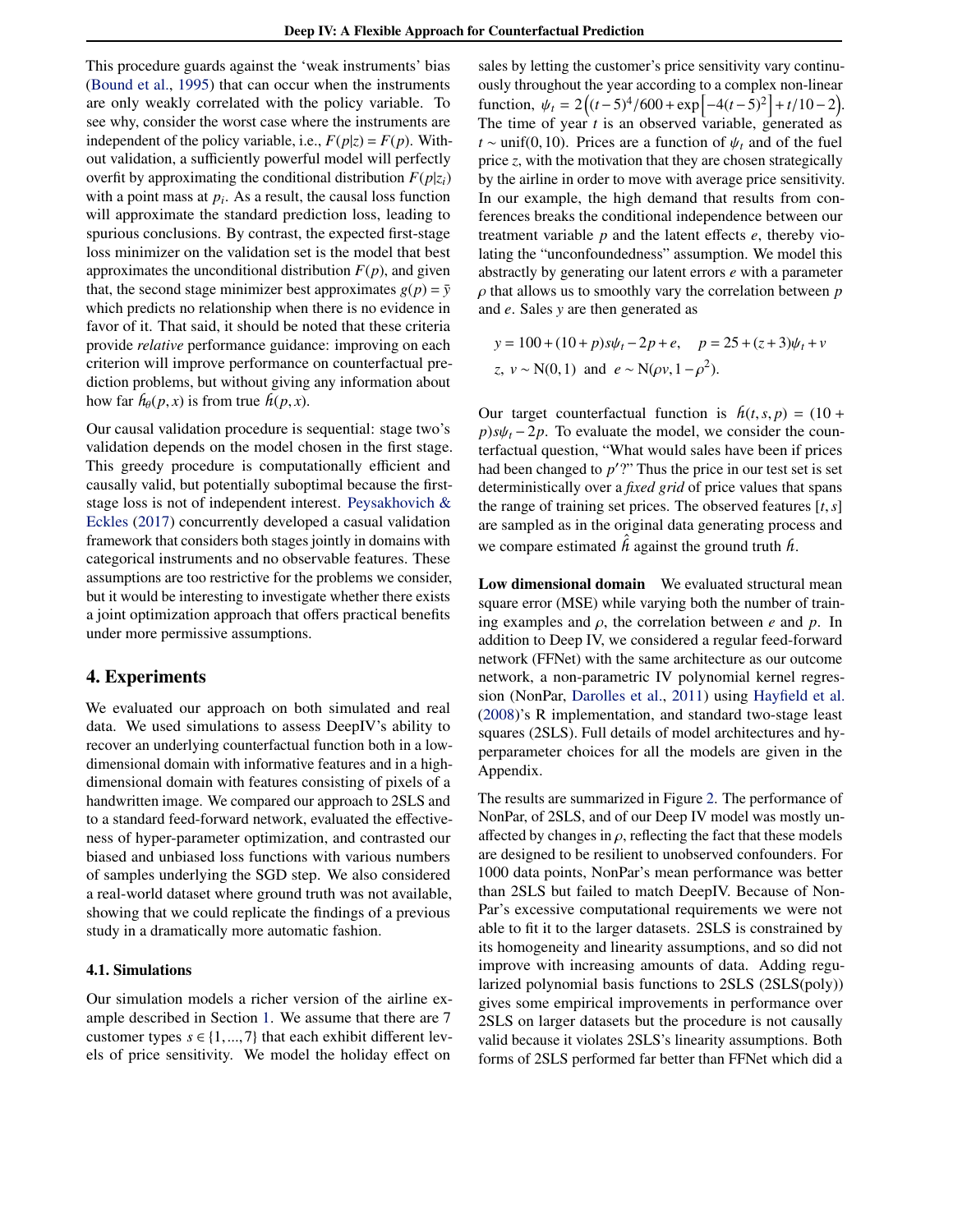<span id="page-5-0"></span>This procedure guards against the 'weak instruments' bias [\(Bound et al.,](#page-8-0) [1995\)](#page-8-0) that can occur when the instruments are only weakly correlated with the policy variable. To see why, consider the worst case where the instruments are independent of the policy variable, i.e.,  $F(p|z) = F(p)$ . Without validation, a sufficiently powerful model will perfectly overfit by approximating the conditional distribution  $F(p|z_i)$ with a point mass at  $p_i$ . As a result, the causal loss function will approximate the standard prediction loss, leading to spurious conclusions. By contrast, the expected first-stage loss minimizer on the validation set is the model that best approximates the unconditional distribution  $F(p)$ , and given that, the second stage minimizer best approximates  $g(p) = \overline{y}$ which predicts no relationship when there is no evidence in favor of it. That said, it should be noted that these criteria provide *relative* performance guidance: improving on each criterion will improve performance on counterfactual prediction problems, but without giving any information about how far  $h_{\theta}(p, x)$  is from true  $h(p, x)$ .

Our causal validation procedure is sequential: stage two's validation depends on the model chosen in the first stage. This greedy procedure is computationally efficient and causally valid, but potentially suboptimal because the firststage loss is not of independent interest. [Peysakhovich &](#page-8-0) [Eckles](#page-8-0) [\(2017\)](#page-8-0) concurrently developed a casual validation framework that considers both stages jointly in domains with categorical instruments and no observable features. These assumptions are too restrictive for the problems we consider, but it would be interesting to investigate whether there exists a joint optimization approach that offers practical benefits under more permissive assumptions.

## 4. Experiments

We evaluated our approach on both simulated and real data. We used simulations to assess DeepIV's ability to recover an underlying counterfactual function both in a lowdimensional domain with informative features and in a highdimensional domain with features consisting of pixels of a handwritten image. We compared our approach to 2SLS and to a standard feed-forward network, evaluated the effectiveness of hyper-parameter optimization, and contrasted our biased and unbiased loss functions with various numbers of samples underlying the SGD step. We also considered a real-world dataset where ground truth was not available, showing that we could replicate the findings of a previous study in a dramatically more automatic fashion.

#### 4.1. Simulations

Our simulation models a richer version of the airline example described in Section [1.](#page-0-0) We assume that there are 7 customer types  $s \in \{1, ..., 7\}$  that each exhibit different levels of price sensitivity. We model the holiday effect on

sales by letting the customer's price sensitivity vary continuously throughout the year according to a complex non-linear function,  $\psi_t = 2((t-5)^4/600 + \exp[-4(t-5)^2] + t/10-2)$ .<br>The time of year *t* is an observed variable, generated as The time of year *t* is an observed variable, generated as *t* ∼ unif(0,10). Prices are a function of  $\psi_t$  and of the fuel price *z*, with the motivation that they are chosen strategically by the airline in order to move with average price sensitivity. In our example, the high demand that results from conferences breaks the conditional independence between our treatment variable *p* and the latent effects *e*, thereby violating the "unconfoundedness" assumption. We model this abstractly by generating our latent errors *e* with a parameter ρ that allows us to smoothly vary the correlation between *<sup>p</sup>* and *e*. Sales *y* are then generated as

$$
y = 100 + (10 + p)s\psi_t - 2p + e, \quad p = 25 + (z + 3)\psi_t + v
$$
  
z,  $v \sim N(0, 1)$  and  $e \sim N(\rho v, 1 - \rho^2)$ .

Our target counterfactual function is  $h(t, s, p) = (10 +$  $p$ )*s* $\psi_t$  − 2*p*. To evaluate the model, we consider the counterfactual question, "What would sales have been if prices had been changed to  $p'$ ?" Thus the price in our test set is set deterministically over a *fixed grid* of price values that spans the range of training set prices. The observed features [*t*,*s*] are sampled as in the original data generating process and we compare estimated  $\hat{h}$  against the ground truth  $h$ .

Low dimensional domain We evaluated structural mean square error (MSE) while varying both the number of training examples and ρ, the correlation between *<sup>e</sup>* and *<sup>p</sup>*. In addition to Deep IV, we considered a regular feed-forward network (FFNet) with the same architecture as our outcome network, a non-parametric IV polynomial kernel regression (NonPar, [Darolles et al.,](#page-8-0) [2011\)](#page-8-0) using [Hayfield et al.](#page-8-0) [\(2008\)](#page-8-0)'s R implementation, and standard two-stage least squares (2SLS). Full details of model architectures and hyperparameter choices for all the models are given in the Appendix.

The results are summarized in Figure [2.](#page-6-0) The performance of NonPar, of 2SLS, and of our Deep IV model was mostly unaffected by changes in  $\rho$ , reflecting the fact that these models are designed to be resilient to unobserved confounders. For 1000 data points, NonPar's mean performance was better than 2SLS but failed to match DeepIV. Because of Non-Par's excessive computational requirements we were not able to fit it to the larger datasets. 2SLS is constrained by its homogeneity and linearity assumptions, and so did not improve with increasing amounts of data. Adding regularized polynomial basis functions to 2SLS (2SLS(poly)) gives some empirical improvements in performance over 2SLS on larger datasets but the procedure is not causally valid because it violates 2SLS's linearity assumptions. Both forms of 2SLS performed far better than FFNet which did a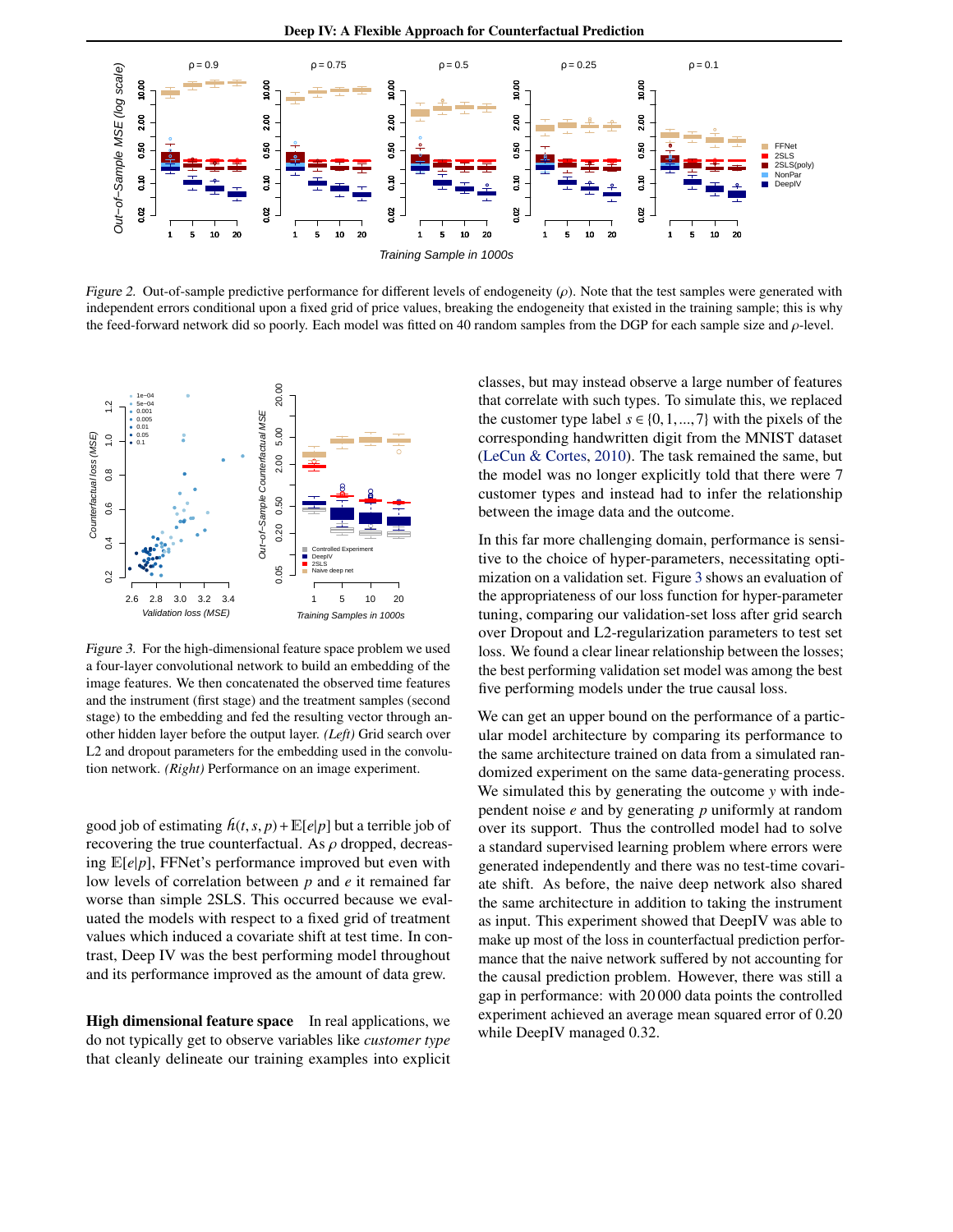<span id="page-6-0"></span>

Figure 2. Out-of-sample predictive performance for different levels of endogeneity  $(\rho)$ . Note that the test samples were generated with independent errors conditional upon a fixed grid of price values, breaking the endogeneity that existed in the training sample; this is why the feed-forward network did so poorly. Each model was fitted on 40 random samples from the DGP for each sample size and  $\rho$ -level.



Figure 3. For the high-dimensional feature space problem we used a four-layer convolutional network to build an embedding of the image features. We then concatenated the observed time features and the instrument (first stage) and the treatment samples (second stage) to the embedding and fed the resulting vector through another hidden layer before the output layer. *(Left)* Grid search over L2 and dropout parameters for the embedding used in the convolution network. *(Right)* Performance on an image experiment.

good job of estimating  $h(t, s, p) + \mathbb{E}[e|p]$  but a terrible job of recovering the true counterfactual. As  $\rho$  dropped, decreasing E[*e*|*p*], FFNet's performance improved but even with low levels of correlation between *p* and *e* it remained far worse than simple 2SLS. This occurred because we evaluated the models with respect to a fixed grid of treatment values which induced a covariate shift at test time. In contrast, Deep IV was the best performing model throughout and its performance improved as the amount of data grew.

High dimensional feature space In real applications, we do not typically get to observe variables like *customer type* that cleanly delineate our training examples into explicit classes, but may instead observe a large number of features that correlate with such types. To simulate this, we replaced the customer type label  $s \in \{0, 1, ..., 7\}$  with the pixels of the corresponding handwritten digit from the MNIST dataset [\(LeCun & Cortes,](#page-8-0) [2010\)](#page-8-0). The task remained the same, but the model was no longer explicitly told that there were 7 customer types and instead had to infer the relationship between the image data and the outcome.

In this far more challenging domain, performance is sensitive to the choice of hyper-parameters, necessitating optimization on a validation set. Figure 3 shows an evaluation of the appropriateness of our loss function for hyper-parameter tuning, comparing our validation-set loss after grid search over Dropout and L2-regularization parameters to test set loss. We found a clear linear relationship between the losses; the best performing validation set model was among the best five performing models under the true causal loss.

We can get an upper bound on the performance of a particular model architecture by comparing its performance to the same architecture trained on data from a simulated randomized experiment on the same data-generating process. We simulated this by generating the outcome *y* with independent noise *e* and by generating *p* uniformly at random over its support. Thus the controlled model had to solve a standard supervised learning problem where errors were generated independently and there was no test-time covariate shift. As before, the naive deep network also shared the same architecture in addition to taking the instrument as input. This experiment showed that DeepIV was able to make up most of the loss in counterfactual prediction performance that the naive network suffered by not accounting for the causal prediction problem. However, there was still a gap in performance: with 20 000 data points the controlled experiment achieved an average mean squared error of 0.20 while DeepIV managed 0.32.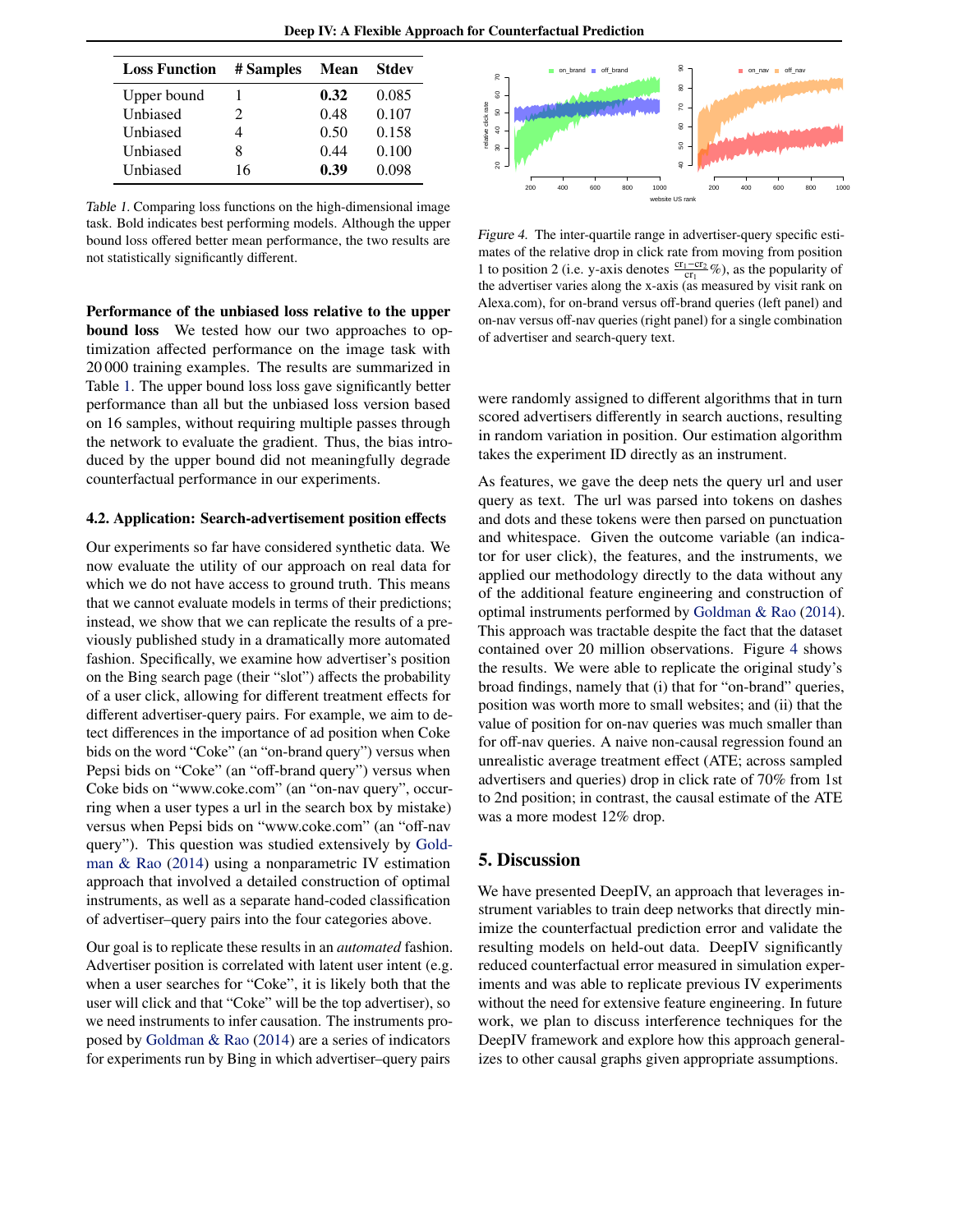Deep IV: A Flexible Approach for Counterfactual Prediction

| <b>Loss Function</b> | # Samples | <b>Mean</b> | <b>Stdev</b> |
|----------------------|-----------|-------------|--------------|
| Upper bound          |           | 0.32        | 0.085        |
| Unbiased             | 2         | 0.48        | 0.107        |
| Unbiased             |           | 0.50        | 0.158        |
| Unbiased             | 8         | 0.44        | 0.100        |
| Unbiased             | 16        | 0.39        | 0.098        |
|                      |           |             |              |

Table 1. Comparing loss functions on the high-dimensional image task. Bold indicates best performing models. Although the upper bound loss offered better mean performance, the two results are not statistically significantly different.

Performance of the unbiased loss relative to the upper **bound loss** We tested how our two approaches to optimization affected performance on the image task with 20 000 training examples. The results are summarized in Table 1. The upper bound loss loss gave significantly better performance than all but the unbiased loss version based on 16 samples, without requiring multiple passes through the network to evaluate the gradient. Thus, the bias introduced by the upper bound did not meaningfully degrade counterfactual performance in our experiments.

#### 4.2. Application: Search-advertisement position effects

Our experiments so far have considered synthetic data. We now evaluate the utility of our approach on real data for which we do not have access to ground truth. This means that we cannot evaluate models in terms of their predictions; instead, we show that we can replicate the results of a previously published study in a dramatically more automated fashion. Specifically, we examine how advertiser's position on the Bing search page (their "slot") affects the probability of a user click, allowing for different treatment effects for different advertiser-query pairs. For example, we aim to detect differences in the importance of ad position when Coke bids on the word "Coke" (an "on-brand query") versus when Pepsi bids on "Coke" (an "off-brand query") versus when Coke bids on "www.coke.com" (an "on-nav query", occurring when a user types a url in the search box by mistake) versus when Pepsi bids on "www.coke.com" (an "off-nav query"). This question was studied extensively by [Gold](#page-8-0)[man & Rao](#page-8-0) [\(2014\)](#page-8-0) using a nonparametric IV estimation approach that involved a detailed construction of optimal instruments, as well as a separate hand-coded classification of advertiser–query pairs into the four categories above.

Our goal is to replicate these results in an *automated* fashion. Advertiser position is correlated with latent user intent (e.g. when a user searches for "Coke", it is likely both that the user will click and that "Coke" will be the top advertiser), so we need instruments to infer causation. The instruments proposed by [Goldman & Rao](#page-8-0) [\(2014\)](#page-8-0) are a series of indicators for experiments run by Bing in which advertiser–query pairs



Figure 4. The inter-quartile range in advertiser-query specific estimates of the relative drop in click rate from moving from position 1 to position 2 (i.e. y-axis denotes  $\frac{cr_1-cr_2}{cr_1}$ %), as the popularity of the advertiser varies along the x-axis (as measured by visit rank on Alexa.com), for on-brand versus off-brand queries (left panel) and on-nav versus off-nav queries (right panel) for a single combination of advertiser and search-query text.

were randomly assigned to different algorithms that in turn scored advertisers differently in search auctions, resulting in random variation in position. Our estimation algorithm takes the experiment ID directly as an instrument.

As features, we gave the deep nets the query url and user query as text. The url was parsed into tokens on dashes and dots and these tokens were then parsed on punctuation and whitespace. Given the outcome variable (an indicator for user click), the features, and the instruments, we applied our methodology directly to the data without any of the additional feature engineering and construction of optimal instruments performed by [Goldman & Rao](#page-8-0) [\(2014\)](#page-8-0). This approach was tractable despite the fact that the dataset contained over 20 million observations. Figure 4 shows the results. We were able to replicate the original study's broad findings, namely that (i) that for "on-brand" queries, position was worth more to small websites; and (ii) that the value of position for on-nav queries was much smaller than for off-nav queries. A naive non-causal regression found an unrealistic average treatment effect (ATE; across sampled advertisers and queries) drop in click rate of 70% from 1st to 2nd position; in contrast, the causal estimate of the ATE was a more modest 12% drop.

### 5. Discussion

We have presented DeepIV, an approach that leverages instrument variables to train deep networks that directly minimize the counterfactual prediction error and validate the resulting models on held-out data. DeepIV significantly reduced counterfactual error measured in simulation experiments and was able to replicate previous IV experiments without the need for extensive feature engineering. In future work, we plan to discuss interference techniques for the DeepIV framework and explore how this approach generalizes to other causal graphs given appropriate assumptions.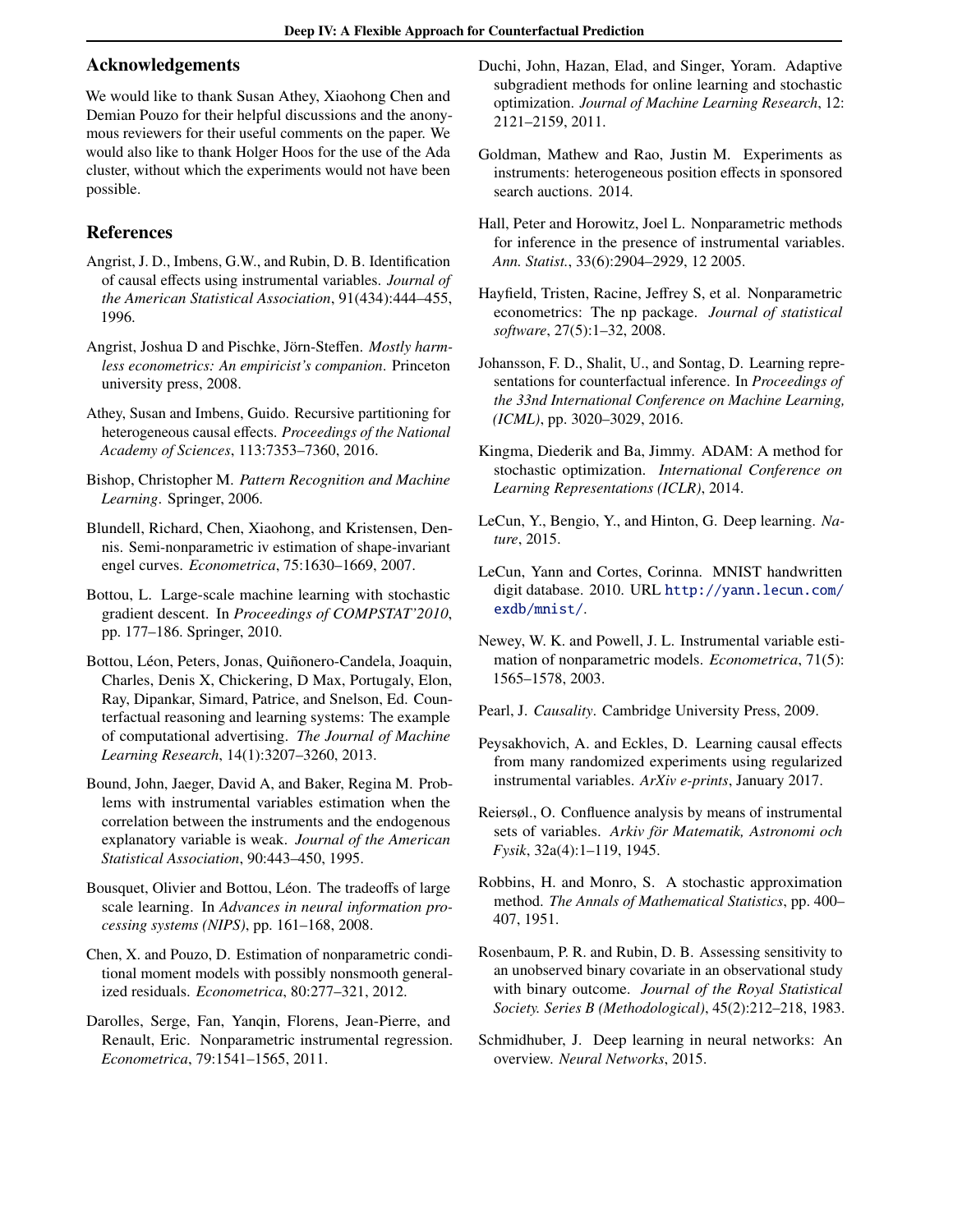#### <span id="page-8-0"></span>Acknowledgements

We would like to thank Susan Athey, Xiaohong Chen and Demian Pouzo for their helpful discussions and the anonymous reviewers for their useful comments on the paper. We would also like to thank Holger Hoos for the use of the Ada cluster, without which the experiments would not have been possible.

# References

- Angrist, J. D., Imbens, G.W., and Rubin, D. B. Identification of causal effects using instrumental variables. *Journal of the American Statistical Association*, 91(434):444–455, 1996.
- Angrist, Joshua D and Pischke, Jörn-Steffen. *Mostly harmless econometrics: An empiricist's companion*. Princeton university press, 2008.
- Athey, Susan and Imbens, Guido. Recursive partitioning for heterogeneous causal effects. *Proceedings of the National Academy of Sciences*, 113:7353–7360, 2016.
- Bishop, Christopher M. *Pattern Recognition and Machine Learning*. Springer, 2006.
- Blundell, Richard, Chen, Xiaohong, and Kristensen, Dennis. Semi-nonparametric iv estimation of shape-invariant engel curves. *Econometrica*, 75:1630–1669, 2007.
- Bottou, L. Large-scale machine learning with stochastic gradient descent. In *Proceedings of COMPSTAT'2010*, pp. 177–186. Springer, 2010.
- Bottou, Léon, Peters, Jonas, Quiñonero-Candela, Joaquin, Charles, Denis X, Chickering, D Max, Portugaly, Elon, Ray, Dipankar, Simard, Patrice, and Snelson, Ed. Counterfactual reasoning and learning systems: The example of computational advertising. *The Journal of Machine Learning Research*, 14(1):3207–3260, 2013.
- Bound, John, Jaeger, David A, and Baker, Regina M. Problems with instrumental variables estimation when the correlation between the instruments and the endogenous explanatory variable is weak. *Journal of the American Statistical Association*, 90:443–450, 1995.
- Bousquet, Olivier and Bottou, Léon. The tradeoffs of large scale learning. In *Advances in neural information processing systems (NIPS)*, pp. 161–168, 2008.
- Chen, X. and Pouzo, D. Estimation of nonparametric conditional moment models with possibly nonsmooth generalized residuals. *Econometrica*, 80:277–321, 2012.
- Darolles, Serge, Fan, Yanqin, Florens, Jean-Pierre, and Renault, Eric. Nonparametric instrumental regression. *Econometrica*, 79:1541–1565, 2011.
- Duchi, John, Hazan, Elad, and Singer, Yoram. Adaptive subgradient methods for online learning and stochastic optimization. *Journal of Machine Learning Research*, 12: 2121–2159, 2011.
- Goldman, Mathew and Rao, Justin M. Experiments as instruments: heterogeneous position effects in sponsored search auctions. 2014.
- Hall, Peter and Horowitz, Joel L. Nonparametric methods for inference in the presence of instrumental variables. *Ann. Statist.*, 33(6):2904–2929, 12 2005.
- Hayfield, Tristen, Racine, Jeffrey S, et al. Nonparametric econometrics: The np package. *Journal of statistical software*, 27(5):1–32, 2008.
- Johansson, F. D., Shalit, U., and Sontag, D. Learning representations for counterfactual inference. In *Proceedings of the 33nd International Conference on Machine Learning, (ICML)*, pp. 3020–3029, 2016.
- Kingma, Diederik and Ba, Jimmy. ADAM: A method for stochastic optimization. *International Conference on Learning Representations (ICLR)*, 2014.
- LeCun, Y., Bengio, Y., and Hinton, G. Deep learning. *Nature*, 2015.
- LeCun, Yann and Cortes, Corinna. MNIST handwritten digit database. 2010. URL [http://yann.lecun.com/](http://yann.lecun.com/exdb/mnist/) [exdb/mnist/](http://yann.lecun.com/exdb/mnist/).
- Newey, W. K. and Powell, J. L. Instrumental variable estimation of nonparametric models. *Econometrica*, 71(5): 1565–1578, 2003.
- Pearl, J. *Causality*. Cambridge University Press, 2009.
- Peysakhovich, A. and Eckles, D. Learning causal effects from many randomized experiments using regularized instrumental variables. *ArXiv e-prints*, January 2017.
- Reiersøl., O. Confluence analysis by means of instrumental sets of variables. Arkiv för Matematik, Astronomi och *Fysik*, 32a(4):1–119, 1945.
- Robbins, H. and Monro, S. A stochastic approximation method. *The Annals of Mathematical Statistics*, pp. 400– 407, 1951.
- Rosenbaum, P. R. and Rubin, D. B. Assessing sensitivity to an unobserved binary covariate in an observational study with binary outcome. *Journal of the Royal Statistical Society. Series B (Methodological)*, 45(2):212–218, 1983.
- Schmidhuber, J. Deep learning in neural networks: An overview. *Neural Networks*, 2015.